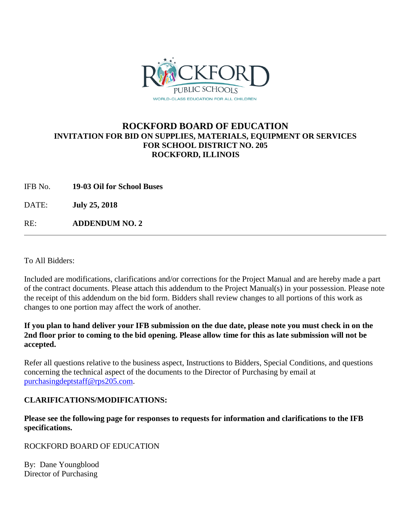

## **ROCKFORD BOARD OF EDUCATION INVITATION FOR BID ON SUPPLIES, MATERIALS, EQUIPMENT OR SERVICES FOR SCHOOL DISTRICT NO. 205 ROCKFORD, ILLINOIS**

IFB No. **19-03 Oil for School Buses**

DATE: **July 25, 2018**

RE: **ADDENDUM NO. 2**

To All Bidders:

Included are modifications, clarifications and/or corrections for the Project Manual and are hereby made a part of the contract documents. Please attach this addendum to the Project Manual(s) in your possession. Please note the receipt of this addendum on the bid form. Bidders shall review changes to all portions of this work as changes to one portion may affect the work of another.

## **If you plan to hand deliver your IFB submission on the due date, please note you must check in on the 2nd floor prior to coming to the bid opening. Please allow time for this as late submission will not be accepted.**

Refer all questions relative to the business aspect, Instructions to Bidders, Special Conditions, and questions concerning the technical aspect of the documents to the Director of Purchasing by email at [purchasingdeptstaff@rps205.com.](mailto:purchasingdeptstaff@rps205.com)

## **CLARIFICATIONS/MODIFICATIONS:**

**Please see the following page for responses to requests for information and clarifications to the IFB specifications.** 

ROCKFORD BOARD OF EDUCATION

By: Dane Youngblood Director of Purchasing